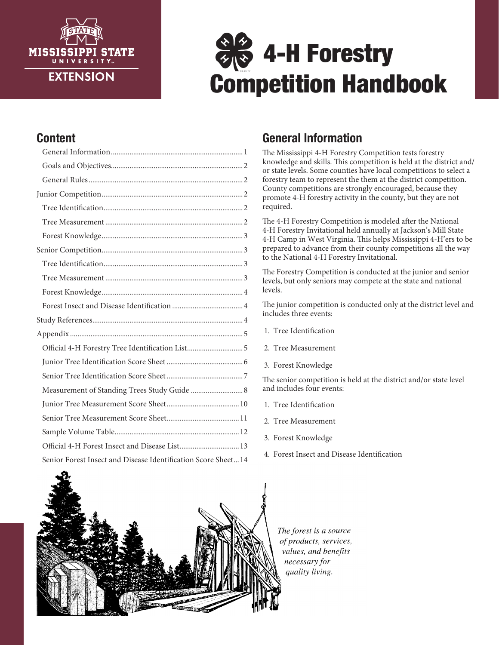

# $\frac{2}{3}$  4-H Forestry Competition Handbook

## Content

| Official 4-H Forestry Tree Identification List5               |
|---------------------------------------------------------------|
|                                                               |
|                                                               |
| Measurement of Standing Trees Study Guide  8                  |
|                                                               |
|                                                               |
|                                                               |
| Official 4-H Forest Insect and Disease List 13                |
| Senior Forest Insect and Disease Identification Score Sheet14 |

## General Information

The Mississippi 4-H Forestry Competition tests forestry knowledge and skills. This competition is held at the district and/ or state levels. Some counties have local competitions to select a forestry team to represent the them at the district competition. County competitions are strongly encouraged, because they promote 4-H forestry activity in the county, but they are not required.

The 4-H Forestry Competition is modeled after the National 4-H Forestry Invitational held annually at Jackson's Mill State 4-H Camp in West Virginia. This helps Mississippi 4-H'ers to be prepared to advance from their county competitions all the way to the National 4-H Forestry Invitational.

The Forestry Competition is conducted at the junior and senior levels, but only seniors may compete at the state and national levels.

The junior competition is conducted only at the district level and includes three events:

- 1. Tree Identification
- 2. Tree Measurement
- 3. Forest Knowledge

The senior competition is held at the district and/or state level and includes four events:

- 1. Tree Identification
- 2. Tree Measurement
- 3. Forest Knowledge
- 4. Forest Insect and Disease Identification



The forest is a source of products, services, values, and benefits necessary for quality living.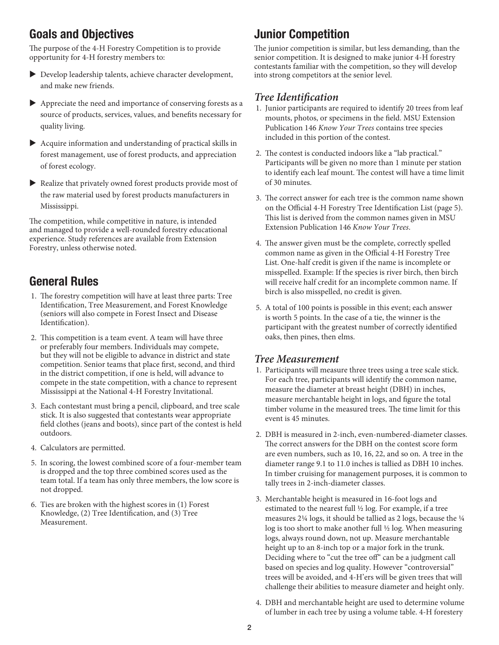## Goals and Objectives

The purpose of the 4-H Forestry Competition is to provide opportunity for 4-H forestry members to:

- $\blacktriangleright$  Develop leadership talents, achieve character development, and make new friends.
- $\blacktriangleright$  Appreciate the need and importance of conserving forests as a source of products, services, values, and benefits necessary for quality living.
- $\blacktriangleright$  Acquire information and understanding of practical skills in forest management, use of forest products, and appreciation of forest ecology.
- $\blacktriangleright$  Realize that privately owned forest products provide most of the raw material used by forest products manufacturers in Mississippi.

The competition, while competitive in nature, is intended and managed to provide a well-rounded forestry educational experience. Study references are available from Extension Forestry, unless otherwise noted.

## General Rules

- 1. The forestry competition will have at least three parts: Tree Identification, Tree Measurement, and Forest Knowledge (seniors will also compete in Forest Insect and Disease Identification).
- 2. This competition is a team event. A team will have three or preferably four members. Individuals may compete, but they will not be eligible to advance in district and state competition. Senior teams that place first, second, and third in the district competition, if one is held, will advance to compete in the state competition, with a chance to represent Mississippi at the National 4-H Forestry Invitational.
- 3. Each contestant must bring a pencil, clipboard, and tree scale stick. It is also suggested that contestants wear appropriate field clothes (jeans and boots), since part of the contest is held outdoors.
- 4. Calculators are permitted.
- 5. In scoring, the lowest combined score of a four-member team is dropped and the top three combined scores used as the team total. If a team has only three members, the low score is not dropped.
- 6. Ties are broken with the highest scores in (1) Forest Knowledge, (2) Tree Identification, and (3) Tree Measurement.

## Junior Competition

The junior competition is similar, but less demanding, than the senior competition. It is designed to make junior 4-H forestry contestants familiar with the competition, so they will develop into strong competitors at the senior level.

#### *Tree Identification*

- 1. Junior participants are required to identify 20 trees from leaf mounts, photos, or specimens in the field. MSU Extension Publication 146 *Know Your Trees* contains tree species included in this portion of the contest.
- 2. The contest is conducted indoors like a "lab practical." Participants will be given no more than 1 minute per station to identify each leaf mount. The contest will have a time limit of 30 minutes.
- 3. The correct answer for each tree is the common name shown on the Official 4-H Forestry Tree Identification List (page 5). This list is derived from the common names given in MSU Extension Publication 146 *Know Your Trees*.
- 4. The answer given must be the complete, correctly spelled common name as given in the Official 4-H Forestry Tree List. One-half credit is given if the name is incomplete or misspelled. Example: If the species is river birch, then birch will receive half credit for an incomplete common name. If birch is also misspelled, no credit is given.
- 5. A total of 100 points is possible in this event; each answer is worth 5 points. In the case of a tie, the winner is the participant with the greatest number of correctly identified oaks, then pines, then elms.

#### *Tree Measurement*

- 1. Participants will measure three trees using a tree scale stick. For each tree, participants will identify the common name, measure the diameter at breast height (DBH) in inches, measure merchantable height in logs, and figure the total timber volume in the measured trees. The time limit for this event is 45 minutes.
- 2. DBH is measured in 2-inch, even-numbered-diameter classes. The correct answers for the DBH on the contest score form are even numbers, such as 10, 16, 22, and so on. A tree in the diameter range 9.1 to 11.0 inches is tallied as DBH 10 inches. In timber cruising for management purposes, it is common to tally trees in 2-inch-diameter classes.
- 3. Merchantable height is measured in 16-foot logs and estimated to the nearest full ½ log. For example, if a tree measures 2¼ logs, it should be tallied as 2 logs, because the ¼ log is too short to make another full ½ log. When measuring logs, always round down, not up. Measure merchantable height up to an 8-inch top or a major fork in the trunk. Deciding where to "cut the tree off" can be a judgment call based on species and log quality. However "controversial" trees will be avoided, and 4-H'ers will be given trees that will challenge their abilities to measure diameter and height only.
- 4. DBH and merchantable height are used to determine volume of lumber in each tree by using a volume table. 4-H forestery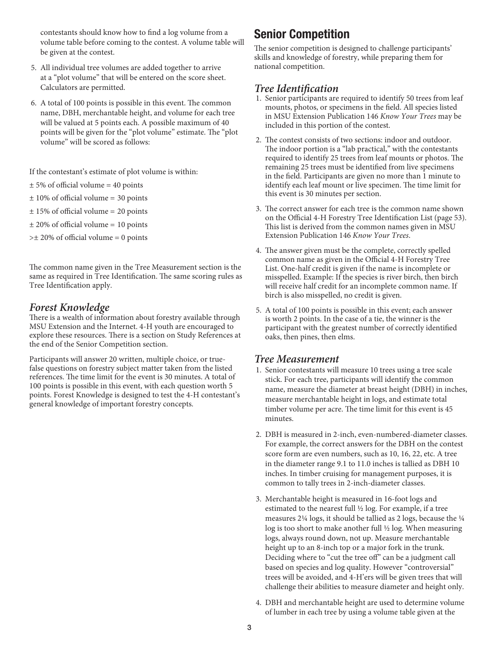contestants should know how to find a log volume from a volume table before coming to the contest. A volume table will be given at the contest.

- 5. All individual tree volumes are added together to arrive at a "plot volume" that will be entered on the score sheet. Calculators are permitted.
- 6. A total of 100 points is possible in this event. The common name, DBH, merchantable height, and volume for each tree will be valued at 5 points each. A possible maximum of 40 points will be given for the "plot volume" estimate. The "plot volume" will be scored as follows:

If the contestant's estimate of plot volume is within:

- $± 5%$  of official volume = 40 points
- $± 10\%$  of official volume = 30 points
- ± 15% of official volume = 20 points
- $± 20\%$  of official volume = 10 points
- $\geq \pm 20\%$  of official volume = 0 points

The common name given in the Tree Measurement section is the same as required in Tree Identification. The same scoring rules as Tree Identification apply.

#### *Forest Knowledge*

There is a wealth of information about forestry available through MSU Extension and the Internet. 4-H youth are encouraged to explore these resources. There is a section on Study References at the end of the Senior Competition section.

Participants will answer 20 written, multiple choice, or truefalse questions on forestry subject matter taken from the listed references. The time limit for the event is 30 minutes. A total of 100 points is possible in this event, with each question worth 5 points. Forest Knowledge is designed to test the 4-H contestant's general knowledge of important forestry concepts.

## Senior Competition

The senior competition is designed to challenge participants' skills and knowledge of forestry, while preparing them for national competition.

#### *Tree Identification*

- 1. Senior participants are required to identify 50 trees from leaf mounts, photos, or specimens in the field. All species listed in MSU Extension Publication 146 *Know Your Trees* may be included in this portion of the contest.
- 2. The contest consists of two sections: indoor and outdoor. The indoor portion is a "lab practical," with the contestants required to identify 25 trees from leaf mounts or photos. The remaining 25 trees must be identified from live specimens in the field. Participants are given no more than 1 minute to identify each leaf mount or live specimen. The time limit for this event is 30 minutes per section.
- 3. The correct answer for each tree is the common name shown on the Official 4-H Forestry Tree Identification List (page 53). This list is derived from the common names given in MSU Extension Publication 146 *Know Your Trees*.
- 4. The answer given must be the complete, correctly spelled common name as given in the Official 4-H Forestry Tree List. One-half credit is given if the name is incomplete or misspelled. Example: If the species is river birch, then birch will receive half credit for an incomplete common name. If birch is also misspelled, no credit is given.
- 5. A total of 100 points is possible in this event; each answer is worth 2 points. In the case of a tie, the winner is the participant with the greatest number of correctly identified oaks, then pines, then elms.

#### *Tree Measurement*

- 1. Senior contestants will measure 10 trees using a tree scale stick. For each tree, participants will identify the common name, measure the diameter at breast height (DBH) in inches, measure merchantable height in logs, and estimate total timber volume per acre. The time limit for this event is 45 minutes.
- 2. DBH is measured in 2-inch, even-numbered-diameter classes. For example, the correct answers for the DBH on the contest score form are even numbers, such as 10, 16, 22, etc. A tree in the diameter range 9.1 to 11.0 inches is tallied as DBH 10 inches. In timber cruising for management purposes, it is common to tally trees in 2-inch-diameter classes.
- 3. Merchantable height is measured in 16-foot logs and estimated to the nearest full ½ log. For example, if a tree measures 2¼ logs, it should be tallied as 2 logs, because the ¼ log is too short to make another full ½ log. When measuring logs, always round down, not up. Measure merchantable height up to an 8-inch top or a major fork in the trunk. Deciding where to "cut the tree off" can be a judgment call based on species and log quality. However "controversial" trees will be avoided, and 4-H'ers will be given trees that will challenge their abilities to measure diameter and height only.
- 4. DBH and merchantable height are used to determine volume of lumber in each tree by using a volume table given at the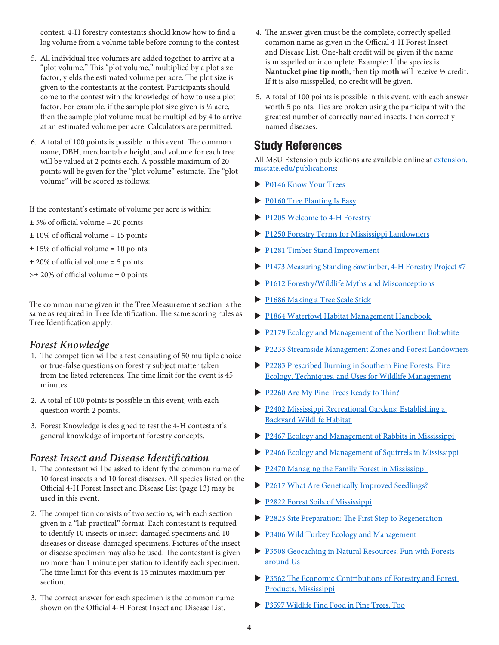contest. 4-H forestry contestants should know how to find a log volume from a volume table before coming to the contest.

- 5. All individual tree volumes are added together to arrive at a "plot volume." This "plot volume," multiplied by a plot size factor, yields the estimated volume per acre. The plot size is given to the contestants at the contest. Participants should come to the contest with the knowledge of how to use a plot factor. For example, if the sample plot size given is ¼ acre, then the sample plot volume must be multiplied by 4 to arrive at an estimated volume per acre. Calculators are permitted.
- 6. A total of 100 points is possible in this event. The common name, DBH, merchantable height, and volume for each tree will be valued at 2 points each. A possible maximum of 20 points will be given for the "plot volume" estimate. The "plot volume" will be scored as follows:

If the contestant's estimate of volume per acre is within:

- $± 5%$  of official volume = 20 points
- ± 10% of official volume = 15 points
- $± 15%$  of official volume = 10 points
- $± 20\%$  of official volume = 5 points
- $\geq \pm 20\%$  of official volume = 0 points

The common name given in the Tree Measurement section is the same as required in Tree Identification. The same scoring rules as Tree Identification apply.

#### *Forest Knowledge*

- 1. The competition will be a test consisting of 50 multiple choice or true-false questions on forestry subject matter taken from the listed references. The time limit for the event is 45 minutes.
- 2. A total of 100 points is possible in this event, with each question worth 2 points.
- 3. Forest Knowledge is designed to test the 4-H contestant's general knowledge of important forestry concepts.

#### *Forest Insect and Disease Identification*

- 1. The contestant will be asked to identify the common name of 10 forest insects and 10 forest diseases. All species listed on the Official 4-H Forest Insect and Disease List (page 13) may be used in this event.
- 2. The competition consists of two sections, with each section given in a "lab practical" format. Each contestant is required to identify 10 insects or insect-damaged specimens and 10 diseases or disease-damaged specimens. Pictures of the insect or disease specimen may also be used. The contestant is given no more than 1 minute per station to identify each specimen. The time limit for this event is 15 minutes maximum per section.
- 3. The correct answer for each specimen is the common name shown on the Official 4-H Forest Insect and Disease List.
- 4. The answer given must be the complete, correctly spelled common name as given in the Official 4-H Forest Insect and Disease List. One-half credit will be given if the name is misspelled or incomplete. Example: If the species is **Nantucket pine tip moth**, then **tip moth** will receive ½ credit. If it is also misspelled, no credit will be given.
- 5. A total of 100 points is possible in this event, with each answer worth 5 points. Ties are broken using the participant with the greatest number of correctly named insects, then correctly named diseases.

### Study References

All MSU Extension publications are available online at extension. msstate.edu/publications:

- P0146 Know Your Trees
- P0160 Tree Planting Is Easy
- P1205 Welcome to 4-H Forestry
- P1250 Forestry Terms for Mississippi Landowners
- P1281 Timber Stand Improvement
- P1473 Measuring Standing Sawtimber, 4-H Forestry Project #7
- P1612 Forestry/Wildlife Myths and Misconceptions
- P1686 Making a Tree Scale Stick
- **P1864 Waterfowl Habitat Management Handbook**
- P2179 Ecology and Management of the Northern Bobwhite
- u P2233 Streamside Management Zones and Forest Landowners
- P2283 Prescribed Burning in Southern Pine Forests: Fire Ecology, Techniques, and Uses for Wildlife Management
- P2260 Are My Pine Trees Ready to Thin?
- **P2402 Mississippi Recreational Gardens: Establishing a** Backyard Wildlife Habitat
- P2467 Ecology and Management of Rabbits in Mississippi
- P2466 Ecology and Management of Squirrels in Mississippi
- $\blacktriangleright$  P2470 Managing the Family Forest in Mississippi
- P2617 What Are Genetically Improved Seedlings?
- ▶ P2822 Forest Soils of Mississippi
- P2823 Site Preparation: The First Step to Regeneration
- P3406 Wild Turkey Ecology and Management
- P3508 Geocaching in Natural Resources: Fun with Forests around Us
- P3562 The Economic Contributions of Forestry and Forest Products, Mississippi
- P3597 Wildlife Find Food in Pine Trees, Too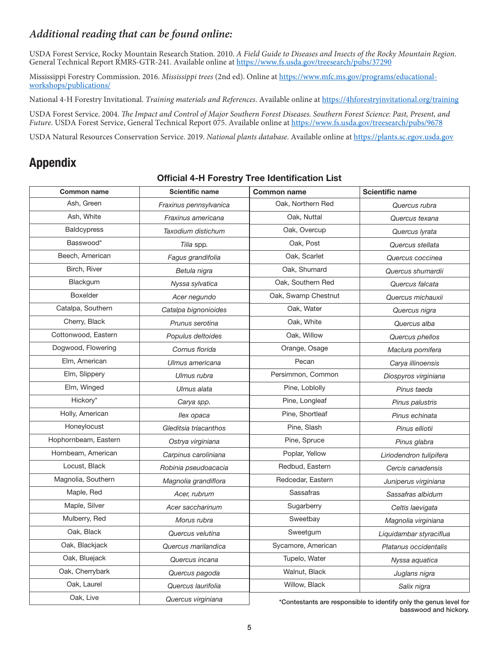#### *Additional reading that can be found online:*

USDA Forest Service, Rocky Mountain Research Station. 2010. *A Field Guide to Diseases and Insects of the Rocky Mountain Region*. General Technical Report RMRS-GTR-241. Available online at https://www.fs.usda.gov/treesearch/pubs/37290

Mississippi Forestry Commission. 2016. *Mississippi trees* (2nd ed). Online at https://www.mfc.ms.gov/programs/educationalworkshops/publications/

National 4-H Forestry Invitational. *Training materials and References*. Available online at https://4hforestryinvitational.org/training

USDA Forest Service. 2004. *The Impact and Control of Major Southern Forest Diseases. Southern Forest Science: Past, Present, and Future*. USDA Forest Service, General Technical Report 075. Available online at https://www.fs.usda.gov/treesearch/pubs/9678

USDA Natural Resources Conservation Service. 2019. *National plants database*. Available online at https://plants.sc.egov.usda.gov

## Appendix

| <b>Common name</b>   | <b>Scientific name</b> | <b>Common name</b>  | <b>Scientific name</b>                                            |  |
|----------------------|------------------------|---------------------|-------------------------------------------------------------------|--|
| Ash, Green           | Fraxinus pennsylvanica | Oak, Northern Red   | Quercus rubra                                                     |  |
| Ash, White           | Fraxinus americana     | Oak, Nuttal         | Quercus texana                                                    |  |
| <b>Baldcypress</b>   | Taxodium distichum     | Oak, Overcup        | Quercus lyrata                                                    |  |
| Basswood*            | Tilia spp.             | Oak, Post           | Quercus stellata                                                  |  |
| Beech, American      | Fagus grandifolia      | Oak, Scarlet        | Quercus coccinea                                                  |  |
| Birch, River         | Betula nigra           | Oak, Shumard        | Quercus shumardii                                                 |  |
| Blackgum             | Nyssa sylvatica        | Oak, Southern Red   | Quercus falcata                                                   |  |
| <b>Boxelder</b>      | Acer negundo           | Oak, Swamp Chestnut | Quercus michauxii                                                 |  |
| Catalpa, Southern    | Catalpa bignonioides   | Oak, Water          | Quercus nigra                                                     |  |
| Cherry, Black        | Prunus serotina        | Oak, White          | Quercus alba                                                      |  |
| Cottonwood, Eastern  | Populus deltoides      | Oak, Willow         | Quercus phellos                                                   |  |
| Dogwood, Flowering   | Cornus florida         | Orange, Osage       | Maclura pomifera                                                  |  |
| Elm, American        | Ulmus americana        | Pecan               | Carya illinoensis                                                 |  |
| Elm, Slippery        | Ulmus rubra            | Persimmon, Common   | Diospyros virginiana                                              |  |
| Elm, Winged          | Ulmus alata            | Pine, Loblolly      | Pinus taeda                                                       |  |
| Hickory*             | Carya spp.             | Pine, Longleaf      | Pinus palustris                                                   |  |
| Holly, American      | llex opaca             | Pine, Shortleaf     | Pinus echinata                                                    |  |
| Honeylocust          | Gleditsia triacanthos  | Pine, Slash         | Pinus elliotii                                                    |  |
| Hophornbeam, Eastern | Ostrya virginiana      | Pine, Spruce        | Pinus glabra                                                      |  |
| Hornbeam, American   | Carpinus caroliniana   | Poplar, Yellow      | Liriodendron tulipifera                                           |  |
| Locust, Black        | Robinia pseudoacacia   | Redbud, Eastern     | Cercis canadensis                                                 |  |
| Magnolia, Southern   | Magnolia grandiflora   | Redcedar, Eastern   | Juniperus virginiana                                              |  |
| Maple, Red           | Acer, rubrum           | Sassafras           | Sassafras albidum                                                 |  |
| Maple, Silver        | Acer saccharinum       | Sugarberry          | Celtis laevigata                                                  |  |
| Mulberry, Red        | Morus rubra            | Sweetbay            | Magnolia virginiana                                               |  |
| Oak, Black           | Quercus velutina       | Sweetgum            | Liquidambar styraciflua                                           |  |
| Oak, Blackjack       | Quercus marilandica    | Sycamore, American  | Platanus occidentalis                                             |  |
| Oak, Bluejack        | Quercus incana         | Tupelo, Water       | Nyssa aquatica                                                    |  |
| Oak, Cherrybark      | Quercus pagoda         | Walnut, Black       | Juglans nigra                                                     |  |
| Oak, Laurel          | Quercus laurifolia     | Willow, Black       | Salix nigra                                                       |  |
| Oak, Live            | Quercus virginiana     |                     | *Contectants are responsible to identify only the genus level for |  |

Official 4-H Forestry Tree Identification List

ontestants are responsible to identify only the genus level for basswood and hickory.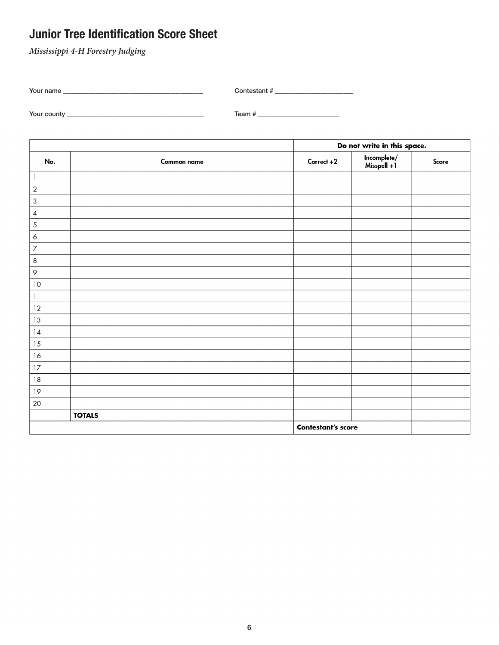## Junior Tree Identification Score Sheet

*Mississippi 4-H Forestry Judging*

| Your name   | Contestant # |  |
|-------------|--------------|--|
|             |              |  |
| Your county | Team #       |  |

Do not write in this space. Incomplete/<br>Misspell +1 No. Common name Correct +2 Score  $\mathbf{1}$  $\overline{2}$ 3  $\overline{4}$ 5  $\overline{6}$  $\overline{7}$  $\overline{\bf 8}$  $\varphi$  $10$  $\overline{11}$  $12$  $13$  $|4$ 15  $16$  $17$  $\sqrt{3}$  $\overline{19}$ 20 **TOTALS Contestant's score**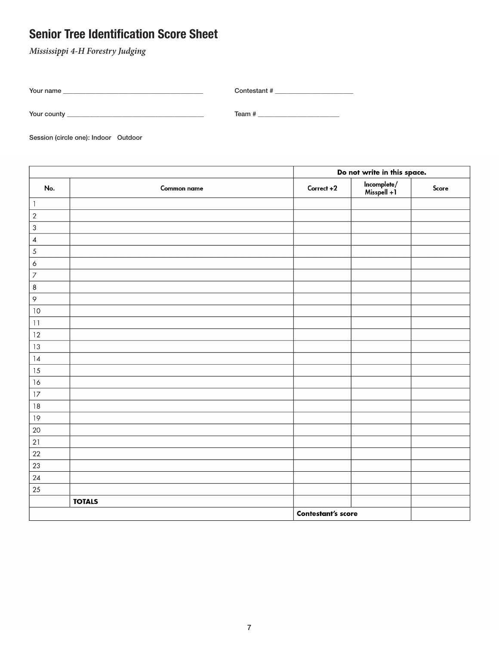## Senior Tree Identification Score Sheet

*Mississippi 4-H Forestry Judging*

| Your name | Contestant # |
|-----------|--------------|
|           |              |

Your county \_\_\_\_\_\_\_\_\_\_\_\_\_\_\_\_\_\_\_\_\_\_\_\_\_\_\_\_\_\_\_\_\_\_\_\_\_\_\_\_\_\_ Team # \_\_\_\_\_\_\_\_\_\_\_\_\_\_\_\_\_\_\_\_\_\_\_\_\_

Session (circle one): Indoor Outdoor

|                  |               | Do not write in this space. |                            |       |
|------------------|---------------|-----------------------------|----------------------------|-------|
| No.              | Common name   | Correct +2                  | Incomplete/<br>Misspell +1 | Score |
| $\mathbf{1}$     |               |                             |                            |       |
| $\sqrt{2}$       |               |                             |                            |       |
| $\mathsf 3$      |               |                             |                            |       |
| $\pmb{4}$        |               |                             |                            |       |
| $\sqrt{5}$       |               |                             |                            |       |
| $\acute{\rm{o}}$ |               |                             |                            |       |
| $\overline{7}$   |               |                             |                            |       |
| $\,8\,$          |               |                             |                            |       |
| $\varphi$        |               |                             |                            |       |
| 10               |               |                             |                            |       |
| 11               |               |                             |                            |       |
| 12               |               |                             |                            |       |
| 13               |               |                             |                            |       |
| 14               |               |                             |                            |       |
| 15               |               |                             |                            |       |
| 16               |               |                             |                            |       |
| 17               |               |                             |                            |       |
| 18               |               |                             |                            |       |
| 19               |               |                             |                            |       |
| 20               |               |                             |                            |       |
| $21$             |               |                             |                            |       |
| $22\,$           |               |                             |                            |       |
| $23\,$           |               |                             |                            |       |
| 24               |               |                             |                            |       |
| $25\,$           |               |                             |                            |       |
|                  | <b>TOTALS</b> |                             |                            |       |
|                  |               | <b>Contestant's score</b>   |                            |       |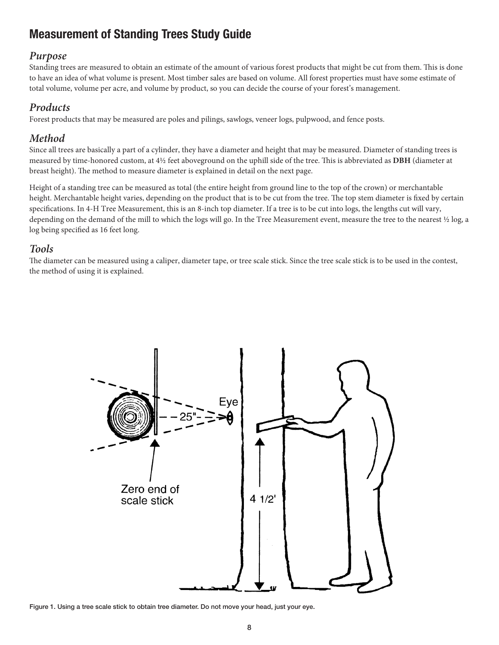## Measurement of Standing Trees Study Guide

#### *Purpose*

Standing trees are measured to obtain an estimate of the amount of various forest products that might be cut from them. This is done to have an idea of what volume is present. Most timber sales are based on volume. All forest properties must have some estimate of total volume, volume per acre, and volume by product, so you can decide the course of your forest's management.

#### *Products*

Forest products that may be measured are poles and pilings, sawlogs, veneer logs, pulpwood, and fence posts.

#### *Method*

Since all trees are basically a part of a cylinder, they have a diameter and height that may be measured. Diameter of standing trees is measured by time-honored custom, at 4½ feet aboveground on the uphill side of the tree. This is abbreviated as **DBH** (diameter at breast height). The method to measure diameter is explained in detail on the next page.

Height of a standing tree can be measured as total (the entire height from ground line to the top of the crown) or merchantable height. Merchantable height varies, depending on the product that is to be cut from the tree. The top stem diameter is fixed by certain specifications. In 4-H Tree Measurement, this is an 8-inch top diameter. If a tree is to be cut into logs, the lengths cut will vary, depending on the demand of the mill to which the logs will go. In the Tree Measurement event, measure the tree to the nearest ½ log, a log being specified as 16 feet long.

#### *Tools*

The diameter can be measured using a caliper, diameter tape, or tree scale stick. Since the tree scale stick is to be used in the contest, the method of using it is explained.



Figure 1. Using a tree scale stick to obtain tree diameter. Do not move your head, just your eye.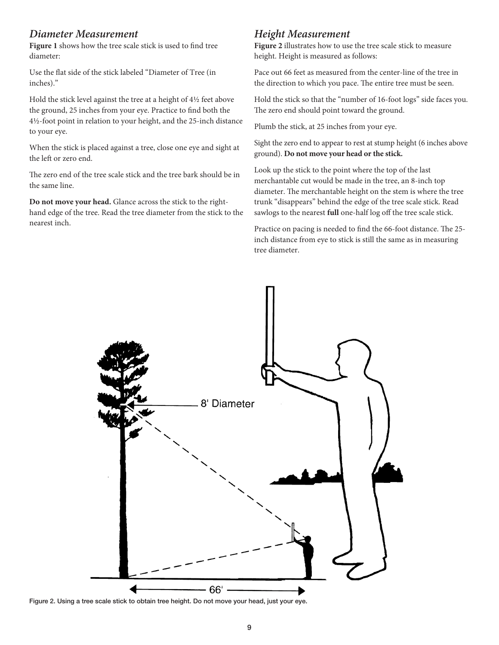#### *Diameter Measurement*

**Figure 1** shows how the tree scale stick is used to find tree diameter:

Use the flat side of the stick labeled "Diameter of Tree (in inches)."

Hold the stick level against the tree at a height of 4½ feet above the ground, 25 inches from your eye. Practice to find both the 4½-foot point in relation to your height, and the 25-inch distance to your eye.

When the stick is placed against a tree, close one eye and sight at the left or zero end.

The zero end of the tree scale stick and the tree bark should be in the same line.

**Do not move your head.** Glance across the stick to the righthand edge of the tree. Read the tree diameter from the stick to the nearest inch.

#### *Height Measurement*

**Figure 2** illustrates how to use the tree scale stick to measure height. Height is measured as follows:

Pace out 66 feet as measured from the center-line of the tree in the direction to which you pace. The entire tree must be seen.

Hold the stick so that the "number of 16-foot logs" side faces you. The zero end should point toward the ground.

Plumb the stick, at 25 inches from your eye.

Sight the zero end to appear to rest at stump height (6 inches above ground). **Do not move your head or the stick.** 

Look up the stick to the point where the top of the last merchantable cut would be made in the tree, an 8-inch top diameter. The merchantable height on the stem is where the tree trunk "disappears" behind the edge of the tree scale stick. Read sawlogs to the nearest **full** one-half log off the tree scale stick.

Practice on pacing is needed to find the 66-foot distance. The 25 inch distance from eye to stick is still the same as in measuring tree diameter.



Figure 2. Using a tree scale stick to obtain tree height. Do not move your head, just your eye.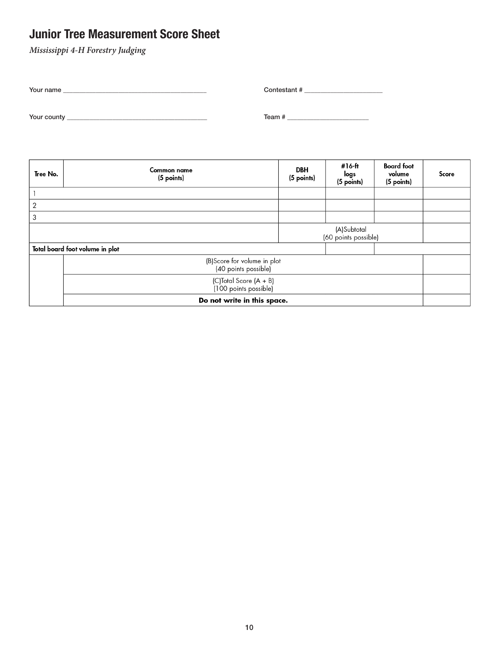## Junior Tree Measurement Score Sheet

*Mississippi 4-H Forestry Judging*

| Your name   | Contestant # |
|-------------|--------------|
|             |              |
| Your county | Team #       |

| Tree No.                                            | Common name<br>(5 points)                       | <b>DBH</b><br>(5 points) | #16-ft<br>logs<br>(5 points)        | <b>Board</b> foot<br>volume<br>(5 points) | Score |
|-----------------------------------------------------|-------------------------------------------------|--------------------------|-------------------------------------|-------------------------------------------|-------|
|                                                     |                                                 |                          |                                     |                                           |       |
| $\overline{2}$                                      |                                                 |                          |                                     |                                           |       |
| 3                                                   |                                                 |                          |                                     |                                           |       |
|                                                     |                                                 |                          | (A)Subtotal<br>(60 points possible) |                                           |       |
|                                                     | Total board foot volume in plot                 |                          |                                     |                                           |       |
| (B)Score for volume in plot<br>(40 points possible) |                                                 |                          |                                     |                                           |       |
|                                                     | (C)Total Score (A + B)<br>(100 points possible) |                          |                                     |                                           |       |
|                                                     | Do not write in this space.                     |                          |                                     |                                           |       |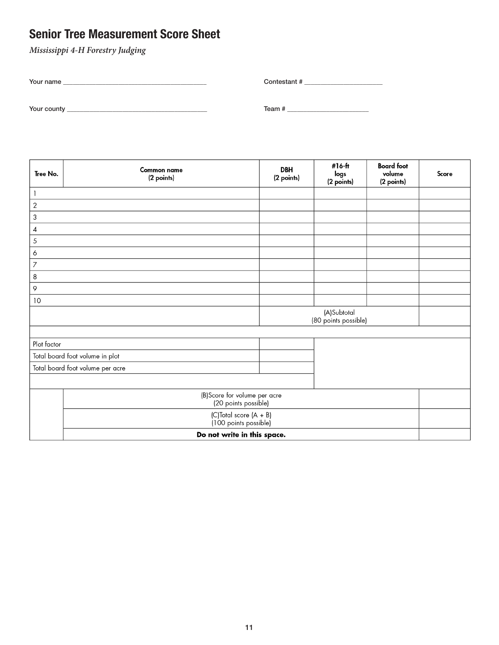## Senior Tree Measurement Score Sheet

*Mississippi 4-H Forestry Judging*

| Your name   | Contestant # |
|-------------|--------------|
|             |              |
| Your county | Team#        |

| Tree No.                    | Common name<br>(2 points)                             | <b>DBH</b><br>(2 points) | #16-ft<br>logs<br>(2 points)        | <b>Board</b> foot<br>volume<br>(2 points) | Score |
|-----------------------------|-------------------------------------------------------|--------------------------|-------------------------------------|-------------------------------------------|-------|
|                             |                                                       |                          |                                     |                                           |       |
| $\sqrt{2}$                  |                                                       |                          |                                     |                                           |       |
| $\ensuremath{\mathsf{3}}$   |                                                       |                          |                                     |                                           |       |
| 4                           |                                                       |                          |                                     |                                           |       |
| $\sqrt{5}$                  |                                                       |                          |                                     |                                           |       |
| 6                           |                                                       |                          |                                     |                                           |       |
| $\overline{7}$              |                                                       |                          |                                     |                                           |       |
| 8                           |                                                       |                          |                                     |                                           |       |
| 9                           |                                                       |                          |                                     |                                           |       |
| 10                          |                                                       |                          |                                     |                                           |       |
|                             |                                                       |                          | (A)Subtotal<br>(80 points possible) |                                           |       |
| Plot factor                 |                                                       |                          |                                     |                                           |       |
|                             | Total board foot volume in plot                       |                          |                                     |                                           |       |
|                             | Total board foot volume per acre                      |                          |                                     |                                           |       |
|                             |                                                       |                          |                                     |                                           |       |
|                             | (B) Score for volume per acre<br>(20 points possible) |                          |                                     |                                           |       |
|                             | (C)Total score (A + B)<br>(100 points possible)       |                          |                                     |                                           |       |
| Do not write in this space. |                                                       |                          |                                     |                                           |       |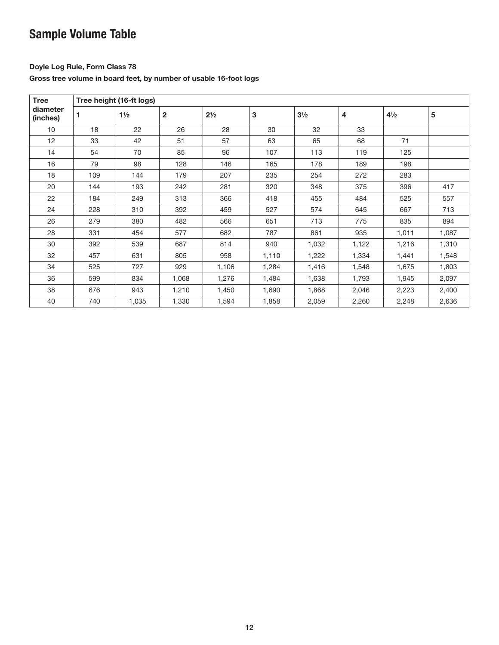## Sample Volume Table

#### Doyle Log Rule, Form Class 78

Gross tree volume in board feet, by number of usable 16-foot logs

| <b>Tree</b>          | Tree height (16-ft logs) |                |              |                |       |                |       |                |       |
|----------------------|--------------------------|----------------|--------------|----------------|-------|----------------|-------|----------------|-------|
| diameter<br>(inches) | 1                        | $1\frac{1}{2}$ | $\mathbf{2}$ | $2\frac{1}{2}$ | 3     | $3\frac{1}{2}$ | 4     | $4\frac{1}{2}$ | 5     |
| 10                   | 18                       | 22             | 26           | 28             | 30    | 32             | 33    |                |       |
| 12                   | 33                       | 42             | 51           | 57             | 63    | 65             | 68    | 71             |       |
| 14                   | 54                       | 70             | 85           | 96             | 107   | 113            | 119   | 125            |       |
| 16                   | 79                       | 98             | 128          | 146            | 165   | 178            | 189   | 198            |       |
| 18                   | 109                      | 144            | 179          | 207            | 235   | 254            | 272   | 283            |       |
| 20                   | 144                      | 193            | 242          | 281            | 320   | 348            | 375   | 396            | 417   |
| 22                   | 184                      | 249            | 313          | 366            | 418   | 455            | 484   | 525            | 557   |
| 24                   | 228                      | 310            | 392          | 459            | 527   | 574            | 645   | 667            | 713   |
| 26                   | 279                      | 380            | 482          | 566            | 651   | 713            | 775   | 835            | 894   |
| 28                   | 331                      | 454            | 577          | 682            | 787   | 861            | 935   | 1,011          | 1,087 |
| 30                   | 392                      | 539            | 687          | 814            | 940   | 1,032          | 1,122 | 1,216          | 1,310 |
| 32                   | 457                      | 631            | 805          | 958            | 1,110 | 1,222          | 1,334 | 1,441          | 1,548 |
| 34                   | 525                      | 727            | 929          | 1,106          | 1,284 | 1,416          | 1,548 | 1,675          | 1,803 |
| 36                   | 599                      | 834            | 1,068        | 1,276          | 1,484 | 1,638          | 1,793 | 1,945          | 2,097 |
| 38                   | 676                      | 943            | 1,210        | 1,450          | 1,690 | 1,868          | 2,046 | 2,223          | 2,400 |
| 40                   | 740                      | 1,035          | 1,330        | 1,594          | 1,858 | 2,059          | 2,260 | 2,248          | 2,636 |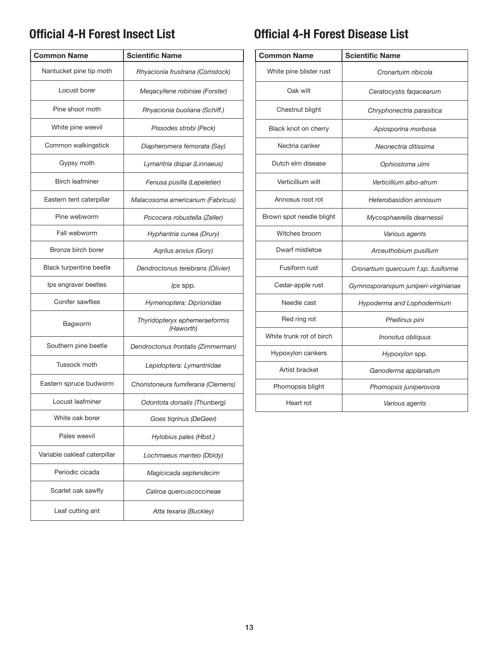## Official 4-H Forest Insect List

| <b>Common Name</b>           | <b>Scientific Name</b>                     |
|------------------------------|--------------------------------------------|
| Nantucket pine tip moth      | Rhyacionia frustrana (Comstock)            |
| Locust borer                 | Megacyllene robiniae (Forster)             |
| Pine shoot moth              | Rhyacionia buoliana (Schiff.)              |
| White pine weevil            | Pissodes strobi (Peck)                     |
| Common walkingstick          | Diapheromera femorata (Say)                |
| Gypsy moth                   | Lymantria dispar (Linnaeus)                |
| <b>Birch leafminer</b>       | Fenusa pusilla (Lepeletier)                |
| Eastern tent caterpillar     | Malacosoma americanum (Fabricus)           |
| Pine webworm                 | Pococera robustella (Zeller)               |
| Fall webworm                 | Hyphantria cunea (Drury)                   |
| Bronze birch borer           | Agrilus anxius (Gory)                      |
| Black turpentine beetle      | Dendroctonus terebrans (Olivier)           |
| Ips engraver beetles         | lps spp.                                   |
| Conifer sawflies             | Hymenoptera: Diprionidae                   |
| Bagworm                      | Thyridopteryx ephemeraeformis<br>(Haworth) |
| Southern pine beetle         | Dendroctonus frontalis (Zimmerman)         |
| Tussock moth                 | Lepidoptera: Lymantriidae                  |
| Eastern spruce budworm       | Choristoneura fumiferana (Clemens)         |
| Locust leafminer             | Odontota dorsalis (Thunberg)               |
| White oak borer              | Goes tigrinus (DeGeer)                     |
| Pales weevil                 | Hylobius pales (Hbst.)                     |
| Variable oakleaf caterpillar | Lochmaeus manteo (Dbldy)                   |
| Periodic cicada              | Magicicada septendecim                     |
| Scarlet oak sawfly           | Caliroa quercuscoccineae                   |
| Leaf cutting ant             | Atta texana (Buckley)                      |

## Official 4-H Forest Disease List

| <b>Common Name</b>       | <b>Scientific Name</b>               |
|--------------------------|--------------------------------------|
| White pine blister rust  | Cronartuim ribicola                  |
| Oak wilt                 | Ceratocystis fagacearum              |
| Chestnut blight          | Chryphonectria parasitica            |
| Black knot on cherry     | Apiosporina morbosa                  |
| Nectria canker           | Neonectria ditissima                 |
| Dutch elm disease        | Ophiostoma ulmi                      |
| Verticillium wilt        | Verticillium albo-atrum              |
| Annosus root rot         | Heterobasidion annosum               |
| Brown spot needle blight | Mycosphaerella dearnessii            |
| Witches broom            | Various agents                       |
| Dwarf mistletoe          | Arceuthobium pusillum                |
| Fusiform rust            | Cronartium quercuum f.sp. fusiforme  |
| Cedar-apple rust         | Gymnosporangium juniperi-virginianae |
| Needle cast              | Hypoderma and Lophodermium           |
| Red ring rot             | Phellinus pini                       |
| White trunk rot of birch | Inonotus obliquus                    |
| Hypoxylon cankers        | Hypoxylon spp.                       |
| Artist bracket           | Ganoderma applanatum                 |
| Phomopsis blight         | Phomopsis juniperovora               |
| Heart rot                | Various agents                       |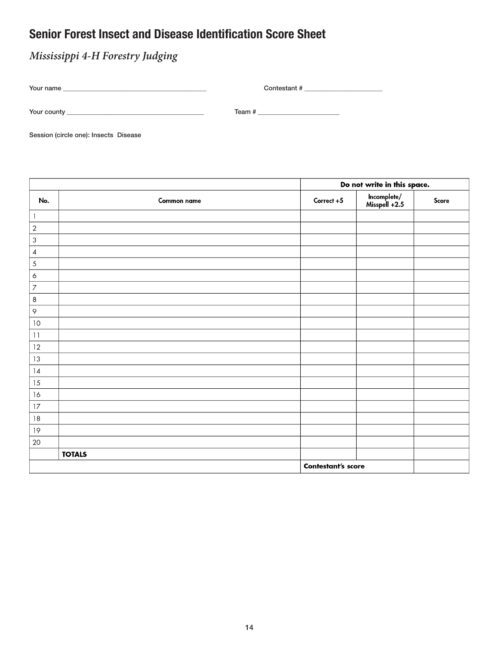## Senior Forest Insect and Disease Identification Score Sheet

## *Mississippi 4-H Forestry Judging*

| Your name     | Contestant # |
|---------------|--------------|
| Your county _ | Team #       |

Session (circle one): Insects Disease

|                          |               | Do not write in this space. |                              |       |
|--------------------------|---------------|-----------------------------|------------------------------|-------|
| No.                      | Common name   | Correct +5                  | lncomplete/<br>Misspell +2.5 | Score |
| 1                        |               |                             |                              |       |
| $\sqrt{2}$               |               |                             |                              |       |
| $\sqrt{3}$               |               |                             |                              |       |
| $\overline{\mathcal{A}}$ |               |                             |                              |       |
| 5                        |               |                             |                              |       |
| $\boldsymbol{6}$         |               |                             |                              |       |
| $\overline{7}$           |               |                             |                              |       |
| $\,8\,$                  |               |                             |                              |       |
| $\varphi$                |               |                             |                              |       |
| $10\,$                   |               |                             |                              |       |
| 11                       |               |                             |                              |       |
| 12                       |               |                             |                              |       |
| 13                       |               |                             |                              |       |
| 4                        |               |                             |                              |       |
| 15                       |               |                             |                              |       |
| 16                       |               |                             |                              |       |
| 17                       |               |                             |                              |       |
| $\sqrt{3}$               |               |                             |                              |       |
| $19$                     |               |                             |                              |       |
| 20                       |               |                             |                              |       |
|                          | <b>TOTALS</b> |                             |                              |       |
|                          |               | <b>Contestant's score</b>   |                              |       |